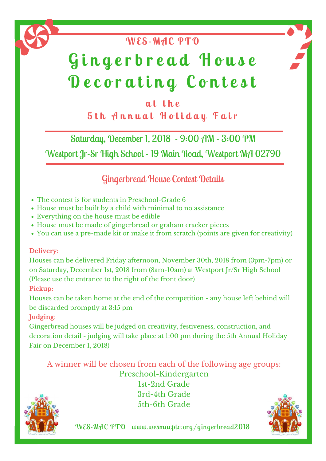## **a t t h e 5 t h A n n u a l H o l i d a y F a i r**

**WES-MAC PTO**

Saturday, December 1, 2018 - 9:00 AM - 3:00 PM

Westport Jr-Sr High School - 19 Main Road, Westport MA 02790

## Gingerbread House Contest Details

# **G i n g e r b r e a d H o u s e D e c o r a t i n g C o n t e s t**

- The contest is for students in Preschool-Grade 6
- House must be built by a child with minimal to no assistance
- Everything on the house must be edible
- House must be made of gingerbread or graham cracker pieces
- You can use a pre-made kit or make it from scratch (points are given for creativity)

**Delivery**:

Houses can be delivered Friday afternoon, November 30th, 2018 from (3pm-7pm) or on Saturday, December 1st, 2018 from (8am-10am) at Westport Jr/Sr High School (Please use the entrance to the right of the front door)

#### **Pickup:**

Houses can be taken home at the end of the competition - any house left behind will be discarded promptly at 3:15 pm

#### **Judging**:

Gingerbread houses will be judged on creativity, festiveness, construction, and decoration detail - judging will take place at 1:00 pm during the 5th Annual Holiday Fair on December 1, 2018)

### A winner will be chosen from each of the following age groups: Preschool-Kindergarten 1st-2nd Grade 3rd-4th Grade

5th-6th Grade



WES-MAC PTO www.wesmacpto.org/gingerbread2018